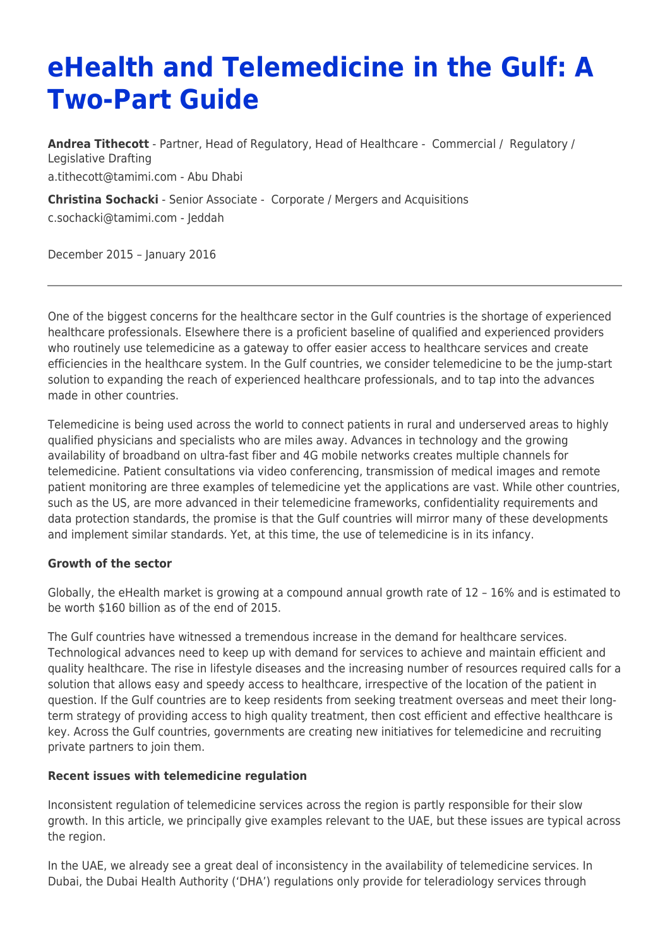# **eHealth and Telemedicine in the Gulf: A Two-Part Guide**

**[Andrea Tithecott](https://www.tamimi.com/find-a-lawyer/andrea-tithecott/)** - Partner, Head of Regulatory, Head of Healthcare - [Commercial](https://www.tamimi.com/client-services/practices/commercial/) / [Regulatory](https://www.tamimi.com/client-services/practices/regulatory/) / [Legislative Drafting](https://www.tamimi.com/client-services/practices/legislative-drafting/) [a.tithecott@tamimi.com](mailto:a.tithecott@tamimi.com) - [Abu Dhabi](https://www.tamimi.com/locations/uae/)

**[Christina Sochacki](https://www.tamimi.com/find-a-lawyer/christina-sochacki/)** - Senior Associate - [Corporate / Mergers and Acquisitions](https://www.tamimi.com/client-services/practices/corporate-mergers-acquisitions/) [c.sochacki@tamimi.com](mailto:c.sochacki@tamimi.com) - [Jeddah](https://www.tamimi.com/locations/saudi-arabia/)

December 2015 – January 2016

One of the biggest concerns for the healthcare sector in the Gulf countries is the shortage of experienced healthcare professionals. Elsewhere there is a proficient baseline of qualified and experienced providers who routinely use telemedicine as a gateway to offer easier access to healthcare services and create efficiencies in the healthcare system. In the Gulf countries, we consider telemedicine to be the jump-start solution to expanding the reach of experienced healthcare professionals, and to tap into the advances made in other countries.

Telemedicine is being used across the world to connect patients in rural and underserved areas to highly qualified physicians and specialists who are miles away. Advances in technology and the growing availability of broadband on ultra-fast fiber and 4G mobile networks creates multiple channels for telemedicine. Patient consultations via video conferencing, transmission of medical images and remote patient monitoring are three examples of telemedicine yet the applications are vast. While other countries, such as the US, are more advanced in their telemedicine frameworks, confidentiality requirements and data protection standards, the promise is that the Gulf countries will mirror many of these developments and implement similar standards. Yet, at this time, the use of telemedicine is in its infancy.

#### **Growth of the sector**

Globally, the eHealth market is growing at a compound annual growth rate of 12 – 16% and is estimated to be worth \$160 billion as of the end of 2015.

The Gulf countries have witnessed a tremendous increase in the demand for healthcare services. Technological advances need to keep up with demand for services to achieve and maintain efficient and quality healthcare. The rise in lifestyle diseases and the increasing number of resources required calls for a solution that allows easy and speedy access to healthcare, irrespective of the location of the patient in question. If the Gulf countries are to keep residents from seeking treatment overseas and meet their longterm strategy of providing access to high quality treatment, then cost efficient and effective healthcare is key. Across the Gulf countries, governments are creating new initiatives for telemedicine and recruiting private partners to join them.

#### **Recent issues with telemedicine regulation**

Inconsistent regulation of telemedicine services across the region is partly responsible for their slow growth. In this article, we principally give examples relevant to the UAE, but these issues are typical across the region.

In the UAE, we already see a great deal of inconsistency in the availability of telemedicine services. In Dubai, the Dubai Health Authority ('DHA') regulations only provide for teleradiology services through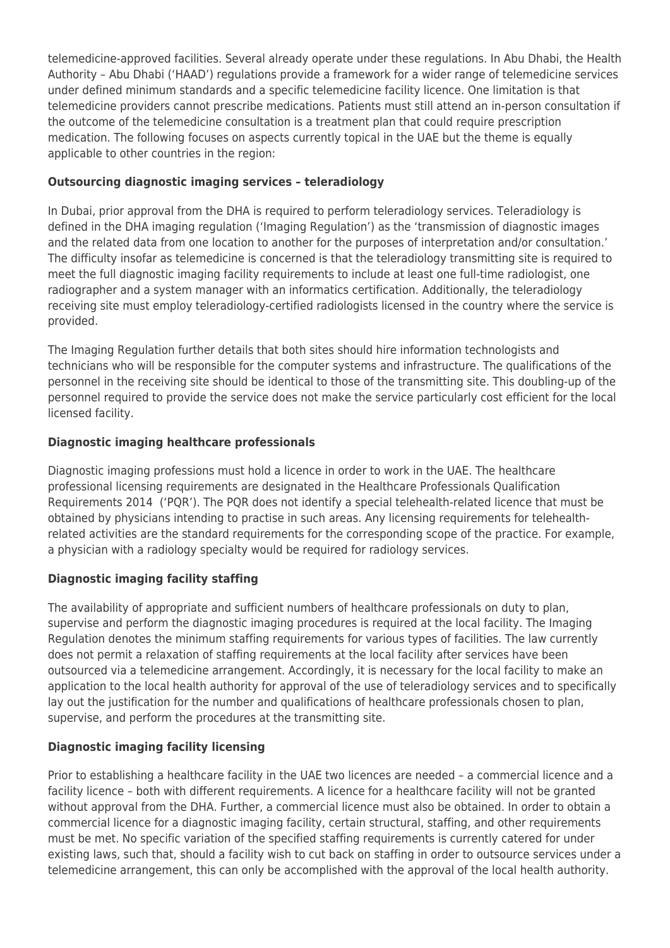telemedicine-approved facilities. Several already operate under these regulations. In Abu Dhabi, the Health Authority – Abu Dhabi ('HAAD') regulations provide a framework for a wider range of telemedicine services under defined minimum standards and a specific telemedicine facility licence. One limitation is that telemedicine providers cannot prescribe medications. Patients must still attend an in-person consultation if the outcome of the telemedicine consultation is a treatment plan that could require prescription medication. The following focuses on aspects currently topical in the UAE but the theme is equally applicable to other countries in the region:

## **Outsourcing diagnostic imaging services – teleradiology**

In Dubai, prior approval from the DHA is required to perform teleradiology services. Teleradiology is defined in the DHA imaging regulation ('Imaging Regulation') as the 'transmission of diagnostic images and the related data from one location to another for the purposes of interpretation and/or consultation.' The difficulty insofar as telemedicine is concerned is that the teleradiology transmitting site is required to meet the full diagnostic imaging facility requirements to include at least one full-time radiologist, one radiographer and a system manager with an informatics certification. Additionally, the teleradiology receiving site must employ teleradiology-certified radiologists licensed in the country where the service is provided.

The Imaging Regulation further details that both sites should hire information technologists and technicians who will be responsible for the computer systems and infrastructure. The qualifications of the personnel in the receiving site should be identical to those of the transmitting site. This doubling-up of the personnel required to provide the service does not make the service particularly cost efficient for the local licensed facility.

### **Diagnostic imaging healthcare professionals**

Diagnostic imaging professions must hold a licence in order to work in the UAE. The healthcare professional licensing requirements are designated in the Healthcare Professionals Qualification Requirements 2014 ('PQR'). The PQR does not identify a special telehealth-related licence that must be obtained by physicians intending to practise in such areas. Any licensing requirements for telehealthrelated activities are the standard requirements for the corresponding scope of the practice. For example, a physician with a radiology specialty would be required for radiology services.

# **Diagnostic imaging facility staffing**

The availability of appropriate and sufficient numbers of healthcare professionals on duty to plan, supervise and perform the diagnostic imaging procedures is required at the local facility. The Imaging Regulation denotes the minimum staffing requirements for various types of facilities. The law currently does not permit a relaxation of staffing requirements at the local facility after services have been outsourced via a telemedicine arrangement. Accordingly, it is necessary for the local facility to make an application to the local health authority for approval of the use of teleradiology services and to specifically lay out the justification for the number and qualifications of healthcare professionals chosen to plan, supervise, and perform the procedures at the transmitting site.

# **Diagnostic imaging facility licensing**

Prior to establishing a healthcare facility in the UAE two licences are needed – a commercial licence and a facility licence – both with different requirements. A licence for a healthcare facility will not be granted without approval from the DHA. Further, a commercial licence must also be obtained. In order to obtain a commercial licence for a diagnostic imaging facility, certain structural, staffing, and other requirements must be met. No specific variation of the specified staffing requirements is currently catered for under existing laws, such that, should a facility wish to cut back on staffing in order to outsource services under a telemedicine arrangement, this can only be accomplished with the approval of the local health authority.